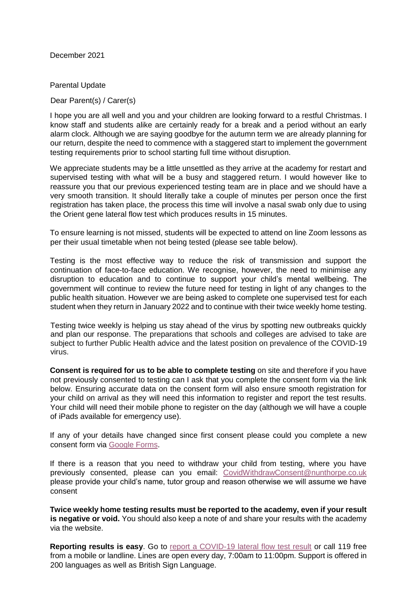December 2021

Parental Update

Dear Parent(s) / Carer(s)

I hope you are all well and you and your children are looking forward to a restful Christmas. I know staff and students alike are certainly ready for a break and a period without an early alarm clock. Although we are saying goodbye for the autumn term we are already planning for our return, despite the need to commence with a staggered start to implement the government testing requirements prior to school starting full time without disruption.

We appreciate students may be a little unsettled as they arrive at the academy for restart and supervised testing with what will be a busy and staggered return. I would however like to reassure you that our previous experienced testing team are in place and we should have a very smooth transition. It should literally take a couple of minutes per person once the first registration has taken place, the process this time will involve a nasal swab only due to using the Orient gene lateral flow test which produces results in 15 minutes.

To ensure learning is not missed, students will be expected to attend on line Zoom lessons as per their usual timetable when not being tested (please see table below).

Testing is the most effective way to reduce the risk of transmission and support the continuation of face-to-face education. We recognise, however, the need to minimise any disruption to education and to continue to support your child's mental wellbeing. The government will continue to review the future need for testing in light of any changes to the public health situation. However we are being asked to complete one supervised test for each student when they return in January 2022 and to continue with their twice weekly home testing.

Testing twice weekly is helping us stay ahead of the virus by spotting new outbreaks quickly and plan our response. The preparations that schools and colleges are advised to take are subject to further Public Health advice and the latest position on prevalence of the COVID-19 virus.

**Consent is required for us to be able to complete testing** on site and therefore if you have not previously consented to testing can I ask that you complete the consent form via the link below. Ensuring accurate data on the consent form will also ensure smooth registration for your child on arrival as they will need this information to register and report the test results. Your child will need their mobile phone to register on the day (although we will have a couple of iPads available for emergency use).

If any of your details have changed since first consent please could you complete a new consent form via [Google Forms.](https://forms.gle/bCG24EFmf2V9TuER8)

If there is a reason that you need to withdraw your child from testing, where you have previously consented, please can you email: CovidWithdrawConsent@nunthorpe.co.uk please provide your child's name, tutor group and reason otherwise we will assume we have consent

**Twice weekly home testing results must be reported to the academy, even if your result is negative or void.** You should also keep a note of and share your results with the academy via the website.

**Rep[o](https://www.gov.uk/report-covid19-result)rting results is easy.** Go to [report a COVID-19 lateral flow test result](https://www.gov.uk/report-covid19-result) or call 119 free from a mobile or landline. Lines are open every day, 7:00am to 11:00pm. Support is offered in 200 languages as well as British Sign Language.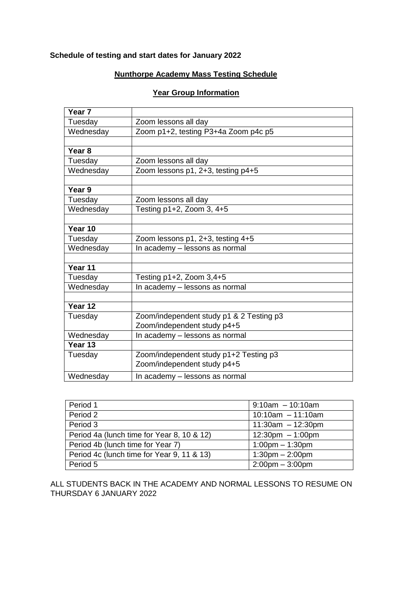# **Schedule of testing and start dates for January 2022**

## **Nunthorpe Academy Mass Testing Schedule**

#### **Year Group Information**

| Year <sub>7</sub> |                                          |  |  |  |  |
|-------------------|------------------------------------------|--|--|--|--|
| Tuesday           | Zoom lessons all day                     |  |  |  |  |
| Wednesday         | Zoom p1+2, testing P3+4a Zoom p4c p5     |  |  |  |  |
|                   |                                          |  |  |  |  |
| Year <sub>8</sub> |                                          |  |  |  |  |
| Tuesday           | Zoom lessons all day                     |  |  |  |  |
| Wednesday         | Zoom lessons p1, 2+3, testing p4+5       |  |  |  |  |
|                   |                                          |  |  |  |  |
| Year 9            |                                          |  |  |  |  |
| Tuesday           | Zoom lessons all day                     |  |  |  |  |
| Wednesday         | Testing $p1+2$ , Zoom 3, $4+5$           |  |  |  |  |
|                   |                                          |  |  |  |  |
| Year 10           |                                          |  |  |  |  |
| Tuesday           | Zoom lessons p1, 2+3, testing 4+5        |  |  |  |  |
| Wednesday         | In academy - lessons as normal           |  |  |  |  |
|                   |                                          |  |  |  |  |
| Year 11           |                                          |  |  |  |  |
| Tuesday           | Testing p1+2, Zoom 3,4+5                 |  |  |  |  |
| Wednesday         | In academy - lessons as normal           |  |  |  |  |
|                   |                                          |  |  |  |  |
| Year 12           |                                          |  |  |  |  |
| Tuesday           | Zoom/independent study p1 & 2 Testing p3 |  |  |  |  |
|                   | Zoom/independent study p4+5              |  |  |  |  |
| Wednesday         | In academy - lessons as normal           |  |  |  |  |
| Year 13           |                                          |  |  |  |  |
| Tuesday           | Zoom/independent study p1+2 Testing p3   |  |  |  |  |
|                   | Zoom/independent study p4+5              |  |  |  |  |
| Wednesday         | In academy - lessons as normal           |  |  |  |  |

| Period 1                                   | $9:10am - 10:10am$                 |
|--------------------------------------------|------------------------------------|
| Period 2                                   | $10:10$ am $-11:10$ am             |
| Period 3                                   | $11:30am - 12:30pm$                |
| Period 4a (lunch time for Year 8, 10 & 12) | $12:30 \text{pm} - 1:00 \text{pm}$ |
| Period 4b (lunch time for Year 7)          | $1:00 \text{pm} - 1:30 \text{pm}$  |
| Period 4c (lunch time for Year 9, 11 & 13) | $1:30 \text{pm} - 2:00 \text{pm}$  |
| Period 5                                   | $2:00 \text{pm} - 3:00 \text{pm}$  |

ALL STUDENTS BACK IN THE ACADEMY AND NORMAL LESSONS TO RESUME ON THURSDAY 6 JANUARY 2022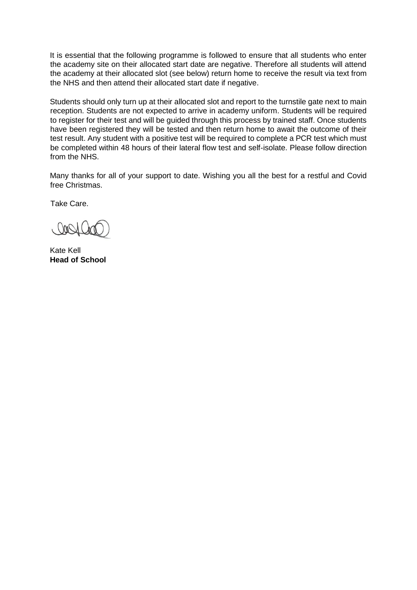It is essential that the following programme is followed to ensure that all students who enter the academy site on their allocated start date are negative. Therefore all students will attend the academy at their allocated slot (see below) return home to receive the result via text from the NHS and then attend their allocated start date if negative.

Students should only turn up at their allocated slot and report to the turnstile gate next to main reception. Students are not expected to arrive in academy uniform. Students will be required to register for their test and will be guided through this process by trained staff. Once students have been registered they will be tested and then return home to await the outcome of their test result. Any student with a positive test will be required to complete a PCR test which must be completed within 48 hours of their lateral flow test and self-isolate. Please follow direction from the NHS.

Many thanks for all of your support to date. Wishing you all the best for a restful and Covid free Christmas.

Take Care.

Kate Kell **Head of School**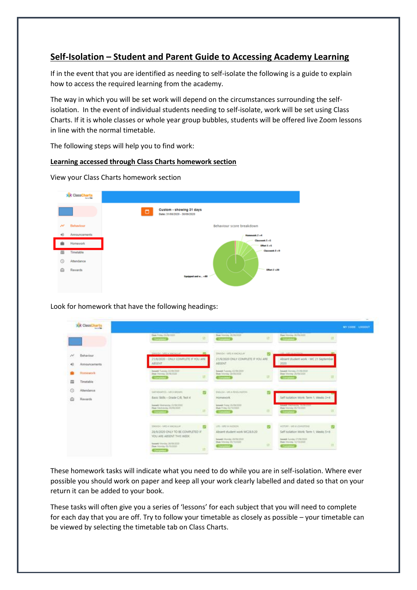# **Self-Isolation – Student and Parent Guide to Accessing Academy Learning**

If in the event that you are identified as needing to self-isolate the following is a guide to explain how to access the required learning from the academy.

The way in which you will be set work will depend on the circumstances surrounding the selfisolation. In the event of individual students needing to self-isolate, work will be set using Class Charts. If it is whole classes or whole year group bubbles, students will be offered live Zoom lessons in line with the normal timetable.

The following steps will help you to find work:

#### **Learning accessed through Class Charts homework section**

|                      | <b>XX</b> ClassCharts |                                                                     |
|----------------------|-----------------------|---------------------------------------------------------------------|
|                      |                       | Custom - showing 31 days<br>$\Box$<br>Date: 31/88/2020 - 30/89/2020 |
| n                    | Behaviour             | Behaviour score breakdown                                           |
| $\blacktriangleleft$ | Announcements         | Homework 2+4                                                        |
|                      | Homework              | Classwork S +S<br><b>Effect S = S</b>                               |
| 而                    | Timetable             | Classwork 1+9                                                       |
| O                    | Attendance            |                                                                     |
| ≏                    | Rewards               | -<br>Effect 2 +30                                                   |
|                      |                       | Equipped and w.,. +80                                               |
|                      |                       |                                                                     |

View your Class Charts homework section

#### Look for homework that have the following headings:

|    | <b>XX ClassCharts</b><br><b>Service Date</b> |                                                                                                      |     |                                                                                                       |           |                                                                                              | MY.COOK LOODUT |
|----|----------------------------------------------|------------------------------------------------------------------------------------------------------|-----|-------------------------------------------------------------------------------------------------------|-----------|----------------------------------------------------------------------------------------------|----------------|
|    |                                              | Deal From 23-74-2002<br><b>Convert D</b>                                                             | in. | Due Married JR 06/2020<br><b>Comments</b>                                                             | 12        | Deal Hordie 23/00/2227<br>n<br><b>Continued</b>                                              |                |
|    | Bahaviour<br>Announcements                   | mandal - lotti a teacher ar-<br>25/8/2020 - CINLY COMPLETE IF YOU ARE<br><b>ABSINT</b>               |     | <b>CONNECTIVITY CONTINUES</b><br>SMISS I MS A MADGLAY<br>21/9/2020 ONLY COMPLETE IF YOU ARE<br>ABSENT |           | <b>CAR LANGIN MARINERS</b><br>Absent student work - WC 21 September<br>2030                  |                |
| \: | Honework.<br>Timetable                       | <b>Round: Turning 22, 692 2122</b><br>Doe Ventle 20/9/2220<br><b>Convention</b>                      | 15  | Insural: Turning 22/70/2022<br>Daw Internac 24-04/2002<br><b>Comment</b> 3                            | ᇤ         | Assets Monay 21/26/2020<br>Draw Monthly 26/09/2020<br>___                                    |                |
| ۵  | Attendance<br>Rewards                        | <b>Walker Edit Address of Window</b><br>MAKHEMARES - MR 21 BROWN<br>Basic Skills - Grade C/B. Test 4 |     | <b>ESSAY-MARKETING</b><br>Homesork                                                                    |           | Salt Isolation Work: Term 1. Weeks 3+4"                                                      |                |
|    |                                              | <b>BeamS VINENCON ZURESSIE</b><br><b>Them this drugs as to mix today</b><br><b>Competited</b>        | 32  | Assumed Fruitas 23-700-20000<br>Diam Priday 62/15/2020<br>$-$                                         |           | <b>SHINE WORKING WORKER</b><br>their Meinha (N/Y2/2020)<br>--                                |                |
|    |                                              | TOWNSHI-1482-A MACAGLAY<br>38/9/2020 ONLY TO BE COMPLETED IF<br>YOU ARE ABSENT THIS WEEK.            |     | LFG - MRI M HUDSON<br>Absent student work WC28.9.20<br>Namedi, Moviday 25/76/2222                     |           | MERCHE-MEN 2010 EROSE<br>Self isolation Work: Term 1. Weeks 5+6<br>Neveral Gorden 21/28/2022 |                |
|    |                                              | <b>Nasault Vitential 18/09/2000</b><br><b>Hoe Monday Dictiology</b><br><b>Concertainty</b>           | 期   | Dam Menday (N/10/2020)<br><b>Constant</b>                                                             | <b>ET</b> | Deer Mimile, 12/10/2020<br><b>Common</b>                                                     |                |

These homework tasks will indicate what you need to do while you are in self-isolation. Where ever possible you should work on paper and keep all your work clearly labelled and dated so that on your return it can be added to your book.

These tasks will often give you a series of 'lessons' for each subject that you will need to complete for each day that you are off. Try to follow your timetable as closely as possible – your timetable can be viewed by selecting the timetable tab on Class Charts.